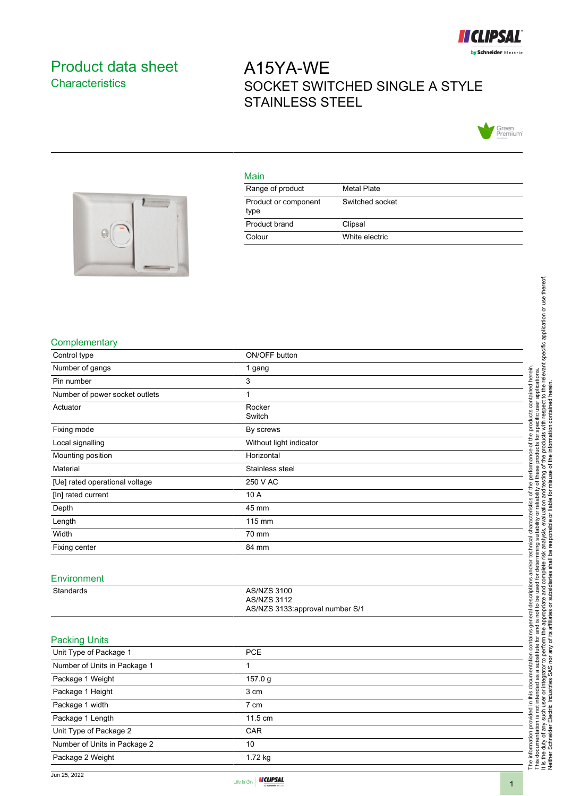

# <span id="page-0-0"></span>Product data sheet **Characteristics**

# A15YA-WE SOCKET SWITCHED SINGLE A STYLE STAINLESS STEEL



#### Main

| Range of product             | Metal Plate     |
|------------------------------|-----------------|
| Product or component<br>type | Switched socket |
| Product brand                | Clipsal         |
| Colour                       | White electric  |



### **Complementary**

| Control type                   | ON/OFF button                            |  |
|--------------------------------|------------------------------------------|--|
| Number of gangs                | 1 gang                                   |  |
| Pin number                     |                                          |  |
|                                | 3                                        |  |
| Number of power socket outlets | 1                                        |  |
| Actuator                       | Rocker<br>Switch                         |  |
| Fixing mode                    | By screws                                |  |
|                                |                                          |  |
| Local signalling               | Without light indicator                  |  |
| Mounting position              | Horizontal                               |  |
| Material                       | Stainless steel                          |  |
| [Ue] rated operational voltage | 250 V AC                                 |  |
| [In] rated current             | 10 A                                     |  |
| Depth                          | 45 mm                                    |  |
| Length                         | 115 mm                                   |  |
| Width                          | 70 mm                                    |  |
| Fixing center                  | 84 mm                                    |  |
|                                |                                          |  |
| Environment                    |                                          |  |
|                                |                                          |  |
| Standards                      | <b>AS/NZS 3100</b><br><b>AS/NZS 3112</b> |  |
|                                | AS/NZS 3133:approval number S/1          |  |
|                                |                                          |  |
|                                |                                          |  |
| <b>Packing Units</b>           |                                          |  |
| Unit Type of Package 1         | PCE                                      |  |
| Number of Units in Package 1   | $\mathbf{1}$                             |  |
| Package 1 Weight               | 157.0 g                                  |  |
| Package 1 Height               | 3 cm                                     |  |
| Package 1 width                | 7 cm                                     |  |
| Package 1 Length               | 11.5 cm                                  |  |
| Unit Type of Package 2         | CAR                                      |  |
| Number of Units in Package 2   | 10                                       |  |
| Package 2 Weight               | 1.72 kg                                  |  |

Neither Schneider Electric Industries SAS nor any of its affiliates or subsidiaries shall be responsible or liable for misuse of the information contained herein.